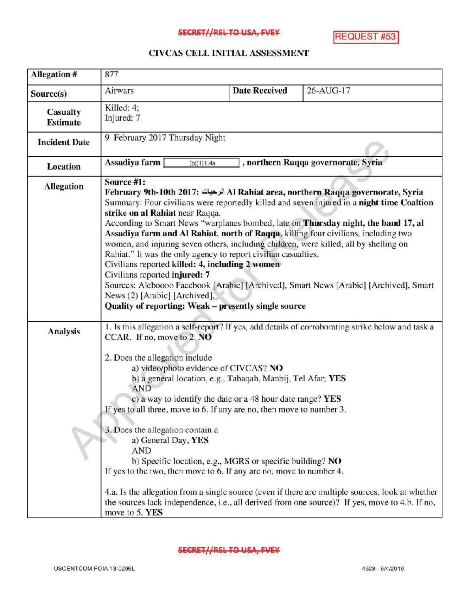## SECRET//REL TO USA, FVEY

**REQUEST #53** 

## CIVCAS CELL INITIALASSESSMENT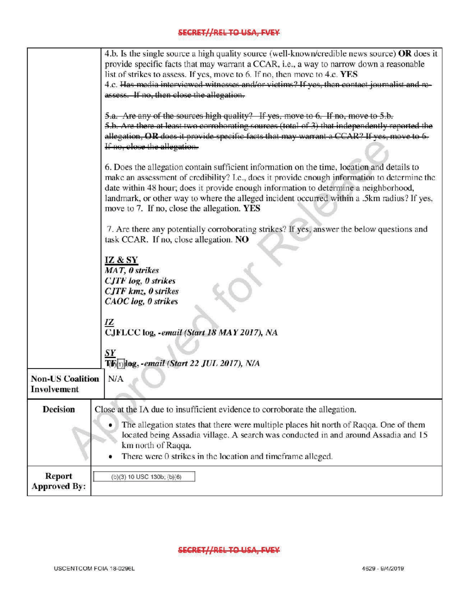## SECRET//REL TO USA, FVEY

|                                        | 4.b. Is the single source a high quality source (well-known/credible news source) OR does it<br>provide specific facts that may warrant a CCAR, i.e., a way to narrow down a reasonable<br>list of strikes to assess. If yes, move to 6. If no, then move to 4.c. YES<br>4.c. Has media interviewed witnesses and/or victims? If yes, then contact journalist and re-<br>assess. If no, then close the allegation.               |
|----------------------------------------|----------------------------------------------------------------------------------------------------------------------------------------------------------------------------------------------------------------------------------------------------------------------------------------------------------------------------------------------------------------------------------------------------------------------------------|
|                                        | 5.a. Are any of the sources high quality? If yes, move to 6. If no, move to 5.b.<br>5.b. Are there at least two corroborating sources (total of 3) that independently reported the<br>allegation, OR does it provide specific facts that may warrant a CCAR? If yes, move to 6.<br>If no, close the allegation.                                                                                                                  |
|                                        | 6. Does the allegation contain sufficient information on the time, location and details to<br>make an assessment of credibility? I.e., does it provide enough information to determine the<br>date within 48 hour; does it provide enough information to determine a neighborhood,<br>landmark, or other way to where the alleged incident occurred within a .5km radius? If yes,<br>move to 7. If no, close the allegation. YES |
|                                        | 7. Are there any potentially corroborating strikes? If yes, answer the below questions and<br>task CCAR. If no, close allegation. NO                                                                                                                                                                                                                                                                                             |
|                                        | IZ & SY<br>MAT, 0 strikes<br><b>CJTF</b> log, 0 strikes<br><b>CJTF</b> kmz, 0 strikes<br>CAOC log, 0 strikes                                                                                                                                                                                                                                                                                                                     |
|                                        | 12<br>CJFLCC log, -email (Start 18 MAY 2017), NA                                                                                                                                                                                                                                                                                                                                                                                 |
|                                        | $\boldsymbol{S}\boldsymbol{Y}$<br>T(F(1) log, - email (Start 22 JUL 2017), N/A                                                                                                                                                                                                                                                                                                                                                   |
| <b>Non-US Coalition</b><br>Involvement | N/A                                                                                                                                                                                                                                                                                                                                                                                                                              |
| <b>Decision</b>                        | Close at the IA due to insufficient evidence to corroborate the allegation.                                                                                                                                                                                                                                                                                                                                                      |
|                                        | The allegation states that there were multiple places hit north of Raqqa. One of them<br>located being Assadia village. A search was conducted in and around Assadia and 15<br>km north of Raqqa.<br>There were 0 strikes in the location and timeframe alleged.                                                                                                                                                                 |
| <b>Report</b><br><b>Approved By:</b>   | (b)(3) 10 USC 130b; (b)(6)                                                                                                                                                                                                                                                                                                                                                                                                       |